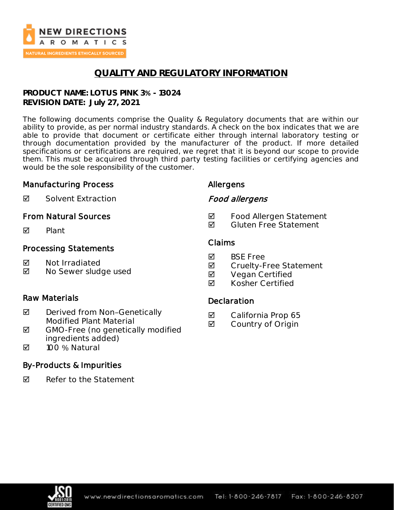

# **QUALITY AND REGULATORY INFORMATION**

**PRODUCT NAME: LOTUS PINK 3% - 13024 REVISION DATE: July 27, 2021**

The following documents comprise the Quality & Regulatory documents that are within our ability to provide, as per normal industry standards. A check on the box indicates that we are able to provide that document or certificate either through internal laboratory testing or through documentation provided by the manufacturer of the product. If more detailed specifications or certifications are required, we regret that it is beyond our scope to provide them. This must be acquired through third party testing facilities or certifying agencies and would be the sole responsibility of the customer.

### Manufacturing Process

Allergens

Food allergens

**Ø** Solvent Extraction

### From Natural Sources

 $\nabla$  Plant

### Processing Statements

- **M** Not Irradiated
- **Ø** No Sewer sludge used

### Raw Materials

- $\boxtimes$  Derived from Non-Genetically Modified Plant Material
- $\boxtimes$  GMO-Free (no genetically modified ingredients added)
- 100 % Natural

### By-Products & Impurities

 $\boxtimes$  Refer to the Statement

# Claims

- **M** BSF Free
- **Ø** Cruelty-Free Statement

**Ø** Food Allergen Statement **Ø** Gluten Free Statement

- **Ø** Vegan Certified
- **Ø** Kosher Certified

### **Declaration**

- **☑** California Prop 65
- **☑** Country of Origin

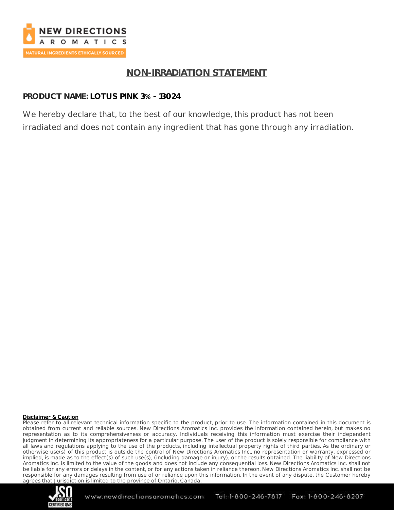

# **NON-IRRADIATION STATEMENT**

### **PRODUCT NAME: LOTUS PINK 3% - 13024**

We hereby declare that, to the best of our knowledge, this product has not been irradiated and does not contain any ingredient that has gone through any irradiation.

### Disclaimer & Caution

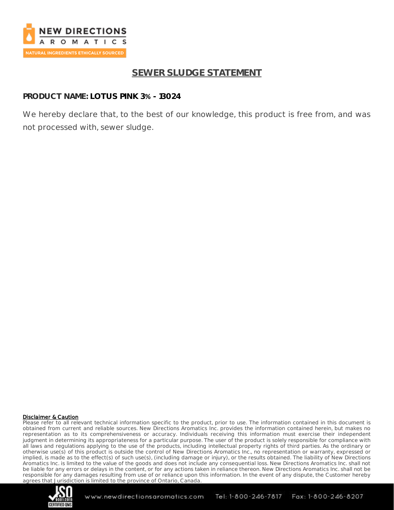

# **SEWER SLUDGE STATEMENT**

### **PRODUCT NAME: LOTUS PINK 3% - 13024**

We hereby declare that, to the best of our knowledge, this product is free from, and was not processed with, sewer sludge.

### Disclaimer & Caution

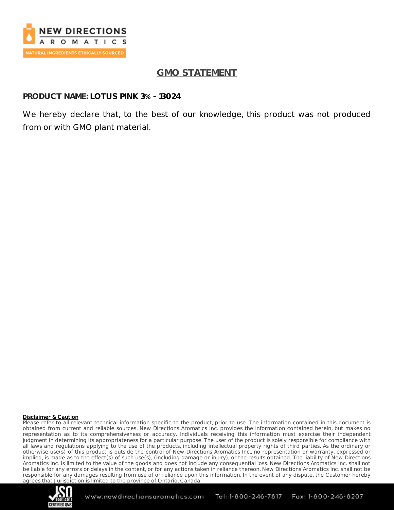

# **GMO STATEMENT**

### **PRODUCT NAME: LOTUS PINK 3% - 13024**

We hereby declare that, to the best of our knowledge, this product was not produced from or with GMO plant material.

#### Disclaimer & Caution

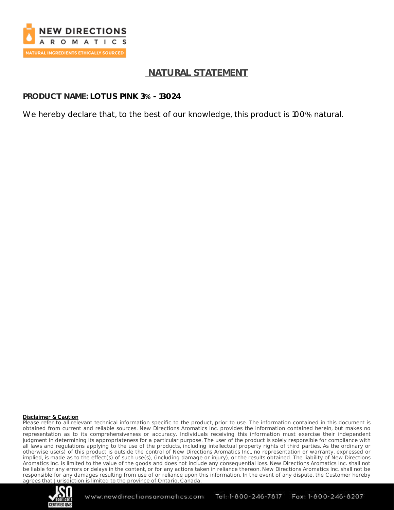

## **NATURAL STATEMENT**

**PRODUCT NAME: LOTUS PINK 3% - 13024**

We hereby declare that, to the best of our knowledge, this product is 100% natural.

#### Disclaimer & Caution

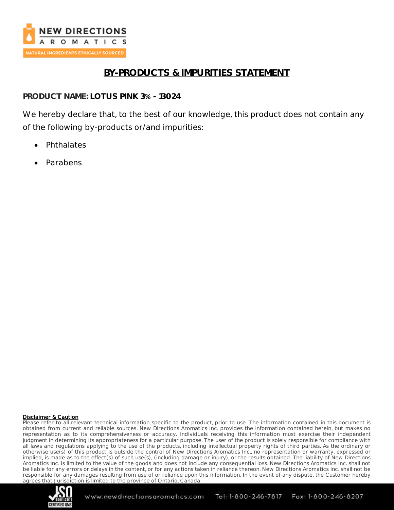

# **BY-PRODUCTS & IMPURITIES STATEMENT**

**PRODUCT NAME: LOTUS PINK 3% - 13024**

We hereby declare that, to the best of our knowledge, this product does not contain any of the following by-products or/and impurities:

- Phthalates
- Parabens

### Disclaimer & Caution

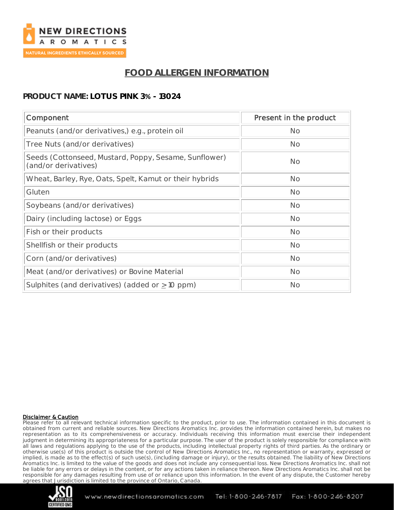

# **FOOD ALLERGEN INFORMATION**

### **PRODUCT NAME: LOTUS PINK 3% - 13024**

| Component                                                                     | Present in the product |
|-------------------------------------------------------------------------------|------------------------|
| Peanuts (and/or derivatives,) e.g., protein oil                               | <b>No</b>              |
| Tree Nuts (and/or derivatives)                                                | <b>No</b>              |
| Seeds (Cottonseed, Mustard, Poppy, Sesame, Sunflower)<br>(and/or derivatives) | <b>No</b>              |
| Wheat, Barley, Rye, Oats, Spelt, Kamut or their hybrids                       | <b>No</b>              |
| Gluten                                                                        | <b>No</b>              |
| Soybeans (and/or derivatives)                                                 | <b>No</b>              |
| Dairy (including lactose) or Eggs                                             | <b>No</b>              |
| Fish or their products                                                        | <b>No</b>              |
| Shellfish or their products                                                   | <b>No</b>              |
| Corn (and/or derivatives)                                                     | <b>No</b>              |
| Meat (and/or derivatives) or Bovine Material                                  | <b>No</b>              |
| Sulphites (and derivatives) (added or $\geq$ 10 ppm)                          | <b>No</b>              |

### Disclaimer & Caution

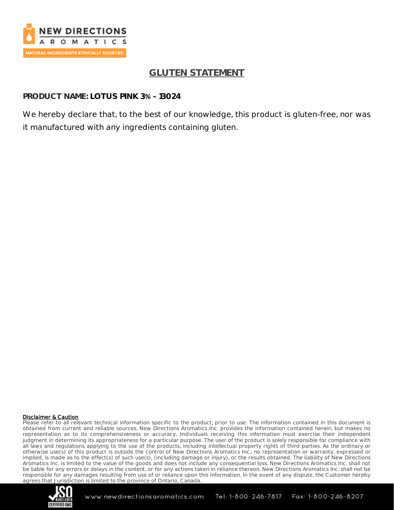

# **GLUTEN STATEMENT**

**PRODUCT NAME: LOTUS PINK 3% - 13024**

We hereby declare that, to the best of our knowledge, this product is gluten-free, nor was it manufactured with any ingredients containing gluten.

### Disclaimer & Caution

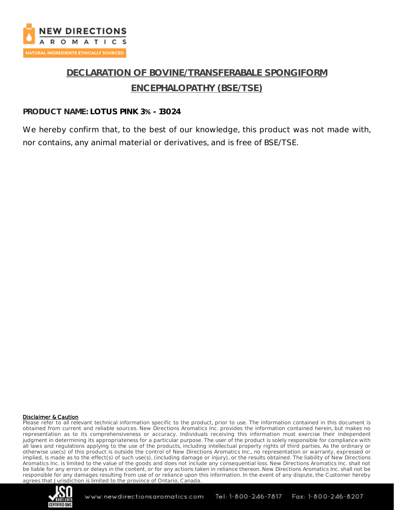

# **DECLARATION OF BOVINE/TRANSFERABALE SPONGIFORM ENCEPHALOPATHY (BSE/TSE)**

### **PRODUCT NAME: LOTUS PINK 3% - 13024**

We hereby confirm that, to the best of our knowledge, this product was not made with, nor contains, any animal material or derivatives, and is free of BSE/TSE.

#### Disclaimer & Caution

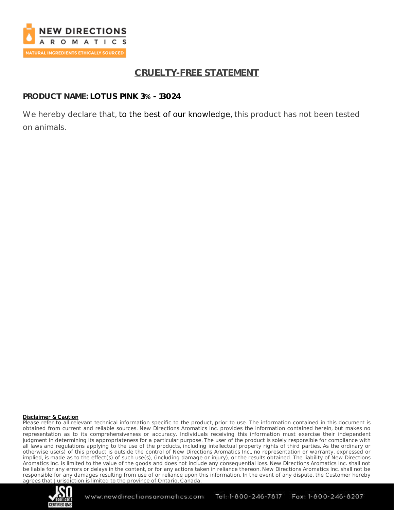

# **CRUELTY-FREE STATEMENT**

**PRODUCT NAME: LOTUS PINK 3% - 13024**

We hereby declare that, to the best of our knowledge, this product has not been tested on animals.

### Disclaimer & Caution

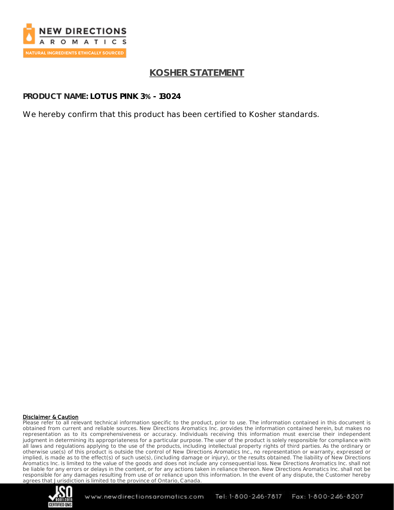

# **KOSHER STATEMENT**

**PRODUCT NAME: LOTUS PINK 3% - 13024**

We hereby confirm that this product has been certified to Kosher standards.

### Disclaimer & Caution

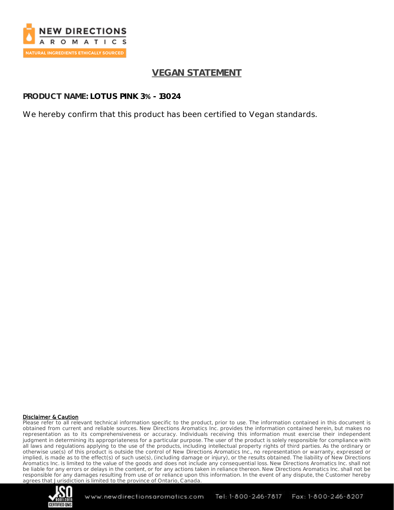

# **VEGAN STATEMENT**

**PRODUCT NAME: LOTUS PINK 3% - 13024**

We hereby confirm that this product has been certified to Vegan standards.

### Disclaimer & Caution

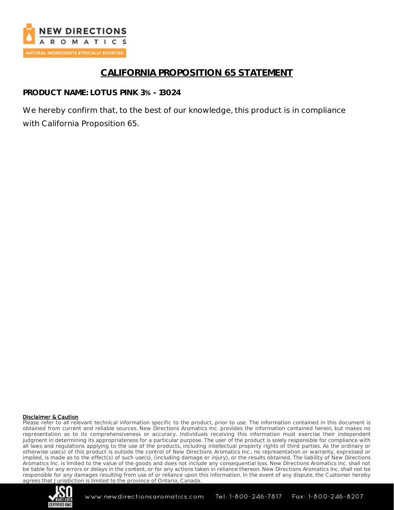

# **CALIFORNIA PROPOSITION 65 STATEMENT**

**PRODUCT NAME: LOTUS PINK 3% - 13024**

We hereby confirm that, to the best of our knowledge, this product is in compliance with California Proposition 65.

### Disclaimer & Caution